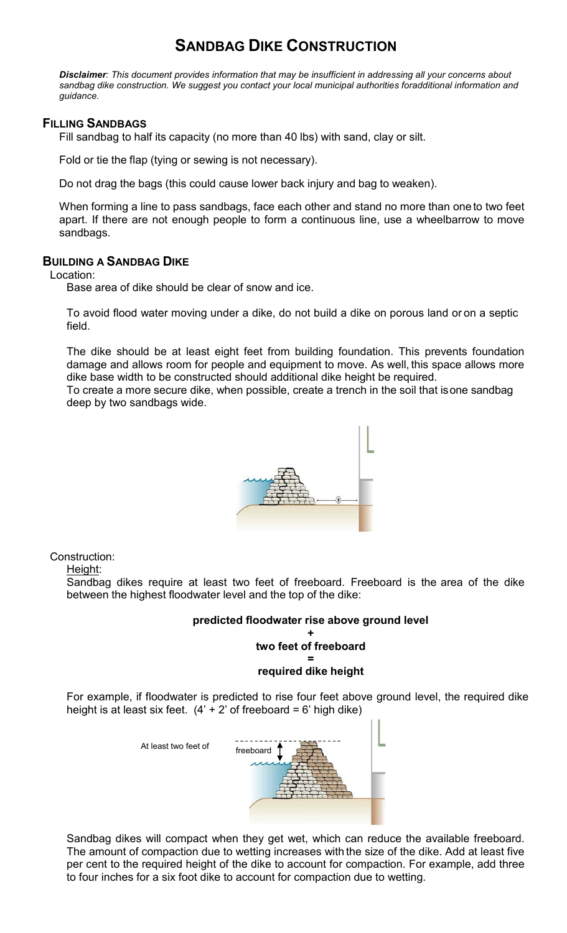# **SANDBAG DIKE CONSTRUCTION**

*Disclaimer: This document provides information that may be insufficient in addressing all your concerns about sandbag dike construction. We suggest you contact your local municipal authorities foradditional information and guidance.*

### **FILLING SANDBAGS**

Fill sandbag to half its capacity (no more than 40 lbs) with sand, clay or silt.

Fold or tie the flap (tying or sewing is not necessary).

Do not drag the bags (this could cause lower back injury and bag to weaken).

When forming a line to pass sandbags, face each other and stand no more than one to two feet apart. If there are not enough people to form a continuous line, use a wheelbarrow to move sandbags.

## **BUILDING A SANDBAG DIKE**

Location:

Base area of dike should be clear of snow and ice.

To avoid flood water moving under a dike, do not build a dike on porous land or on a septic field.

The dike should be at least eight feet from building foundation. This prevents foundation damage and allows room for people and equipment to move. As well, this space allows more dike base width to be constructed should additional dike height be required.

To create a more secure dike, when possible, create a trench in the soil that isone sandbag deep by two sandbags wide.



Construction: Height:

> Sandbag dikes require at least two feet of freeboard. Freeboard is the area of the dike between the highest floodwater level and the top of the dike:

### **predicted floodwater rise above ground level**

#### **+ two feet of freeboard =**

### **required dike height**

For example, if floodwater is predicted to rise four feet above ground level, the required dike height is at least six feet.  $(4' + 2'$  of freeboard = 6' high dike)

At least two feet of



Sandbag dikes will compact when they get wet, which can reduce the available freeboard. The amount of compaction due to wetting increases with the size of the dike. Add at least five per cent to the required height of the dike to account for compaction. For example, add three to four inches for a six foot dike to account for compaction due to wetting.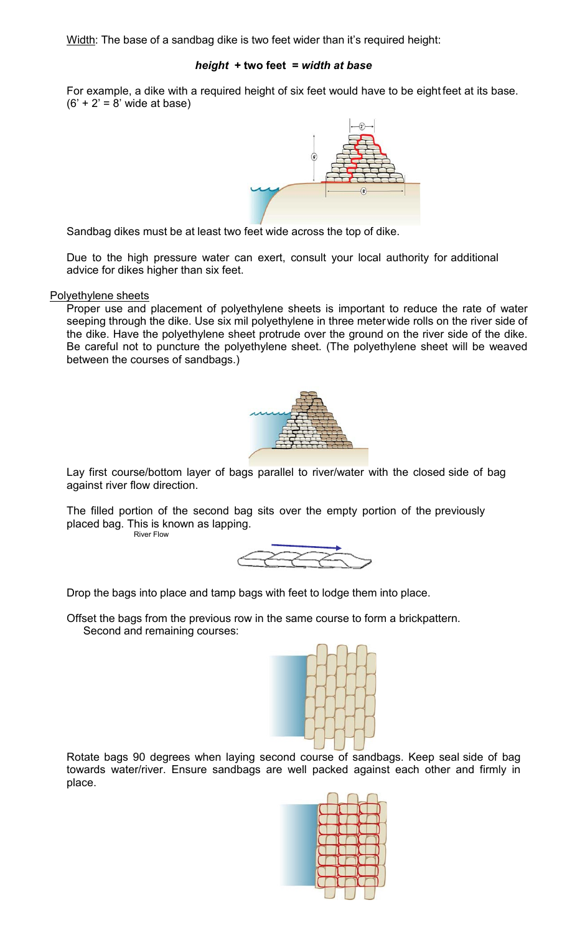Width: The base of a sandbag dike is two feet wider than it's required height:

#### *height* **+ two feet =** *width at base*

For example, a dike with a required height of six feet would have to be eight feet at its base.  $(6' + 2' = 8'$  wide at base)



Sandbag dikes must be at least two feet wide across the top of dike.

Due to the high pressure water can exert, consult your local authority for additional advice for dikes higher than six feet.

#### Polyethylene sheets

Proper use and placement of polyethylene sheets is important to reduce the rate of water seeping through the dike. Use six mil polyethylene in three meterwide rolls on the river side of the dike. Have the polyethylene sheet protrude over the ground on the river side of the dike. Be careful not to puncture the polyethylene sheet. (The polyethylene sheet will be weaved between the courses of sandbags.)



Lay first course/bottom layer of bags parallel to river/water with the closed side of bag against river flow direction.

The filled portion of the second bag sits over the empty portion of the previously placed bag. This is known as lapping.





Drop the bags into place and tamp bags with feet to lodge them into place.

Offset the bags from the previous row in the same course to form a brickpattern. Second and remaining courses:



Rotate bags 90 degrees when laying second course of sandbags. Keep seal side of bag towards water/river. Ensure sandbags are well packed against each other and firmly in place.

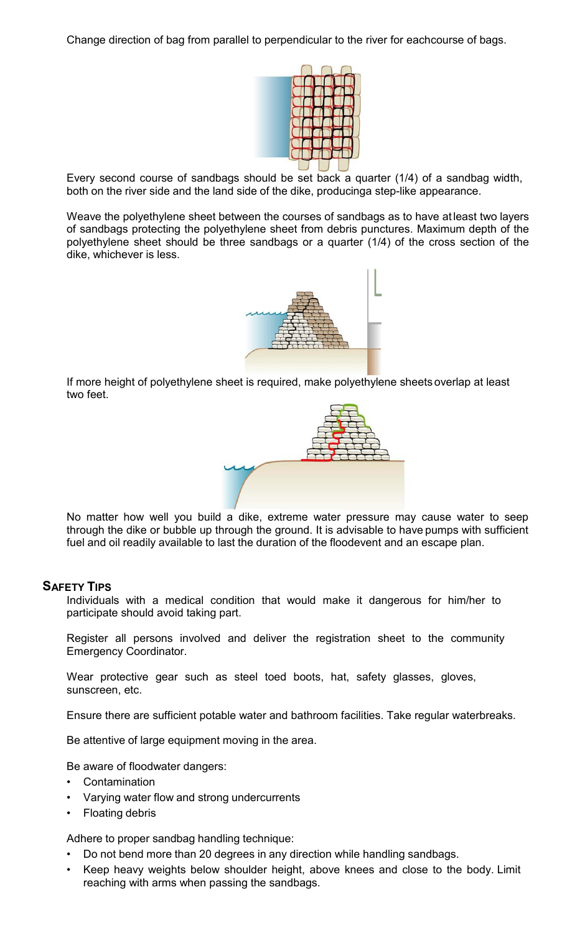Change direction of bag from parallel to perpendicular to the river for eachcourse of bags.



Every second course of sandbags should be set back a quarter (1/4) of a sandbag width, both on the river side and the land side of the dike, producinga step-like appearance.

Weave the polyethylene sheet between the courses of sandbags as to have at least two layers of sandbags protecting the polyethylene sheet from debris punctures. Maximum depth of the polyethylene sheet should be three sandbags or a quarter (1/4) of the cross section of the dike, whichever is less.



If more height of polyethylene sheet is required, make polyethylene sheets overlap at least two feet.



No matter how well you build a dike, extreme water pressure may cause water to seep through the dike or bubble up through the ground. It is advisable to have pumps with sufficient fuel and oil readily available to last the duration of the floodevent and an escape plan.

### **SAFETY TIPS**

Individuals with a medical condition that would make it dangerous for him/her to participate should avoid taking part.

Register all persons involved and deliver the registration sheet to the community Emergency Coordinator.

Wear protective gear such as steel toed boots, hat, safety glasses, gloves, sunscreen, etc.

Ensure there are sufficient potable water and bathroom facilities. Take regular waterbreaks.

Be attentive of large equipment moving in the area.

Be aware of floodwater dangers:

- **Contamination**
- Varying water flow and strong undercurrents
- Floating debris

Adhere to proper sandbag handling technique:

- Do not bend more than 20 degrees in any direction while handling sandbags.
- Keep heavy weights below shoulder height, above knees and close to the body. Limit reaching with arms when passing the sandbags.